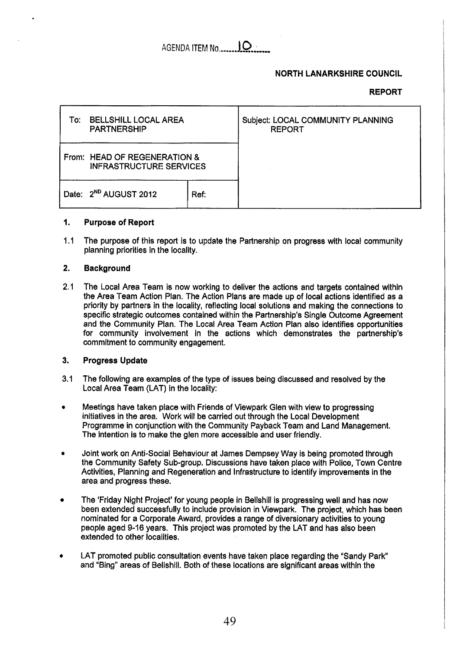# **NORTH LANARKSHIRE COUNCIL**

# **REPORT**

| To: | <b>BELLSHILL LOCAL AREA</b><br><b>PARTNERSHIP</b>              |      | Subject: LOCAL COMMUNITY PLANNING<br><b>REPORT</b> |
|-----|----------------------------------------------------------------|------|----------------------------------------------------|
|     | From: HEAD OF REGENERATION &<br><b>INFRASTRUCTURE SERVICES</b> |      |                                                    |
|     | Date: 2 <sup>ND</sup> AUGUST 2012                              | Ref: |                                                    |

#### **I. Purpose of Report**

**d.1**  The purpose of this report is to update the Partnership on progress with local community planning priorities in the locality.

#### **2. Background**

**2.1**  The Local Area Team is now working to deliver the actions and targets contained within the Area Team Action Plan. The Action Plans are made up of local actions identified as a priority by partners in the locality, reflecting local solutions and making the connections to specific strategic outcomes contained within the Partnership's Single Outcome Agreement and the Community Plan. The Local Area Team Action Plan also identifies opportunities for community involvement in the actions which demonstrates the partnership's commitment to community engagement.

#### **3. Progress Update**

- **3.1**  The following are examples of the type of issues being discussed and resolved by the Local Area Team (LAT) in the locality:
- *0*  Meetings have taken place with Friends of Viewpark Glen with view to progressing initiatives in the area. Work will be carried out through the Local Development Programme in conjunction with the Community Payback Team and Land Management. The intention is to make the glen more accessible and user friendly.
- *0*  Joint work on Anti-Social Behaviour at James Dempsey Way is being promoted through the Community Safety Sub-group. Discussions have taken place with Police, Town Centre Activities, Planning and Regeneration and Infrastructure to identify improvements in the area and progress these.
- The 'Friday Night Project' for young people in Bellshill is progressing well and has now been extended successfully to include provision in Viewpark. The project, which has been nominated for **a** Corporate Award, provides a range of diversionary activities to young people aged **9-16** years. This project was promoted by the LAT and has also been extended to other localities.
- *0*  LAT promoted public consultation events have taken place regarding the "Sandy Park and "Bing" areas of Bellshill. **Both** of these locations are significant areas within the